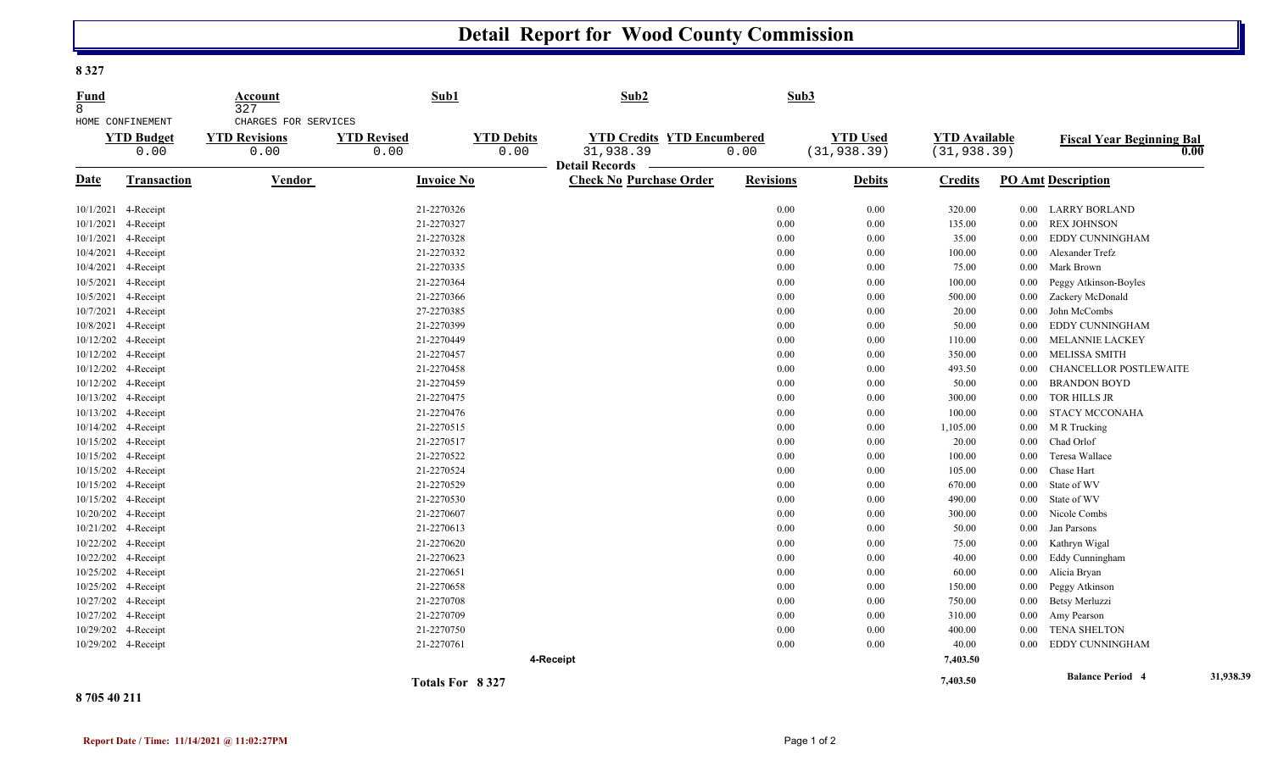## **Detail Report for Wood County Commission**

**8 327** 

| <b>Fund</b><br>8<br>HOME CONFINEMENT |                           | Account<br>327<br>CHARGES FOR SERVICES | Sub1                       |                           | Sub2                                                                    |                  | Sub3                            |                                      |          |                                  |           |
|--------------------------------------|---------------------------|----------------------------------------|----------------------------|---------------------------|-------------------------------------------------------------------------|------------------|---------------------------------|--------------------------------------|----------|----------------------------------|-----------|
|                                      | <b>YTD Budget</b><br>0.00 | <b>YTD Revisions</b><br>0.00           | <b>YTD Revised</b><br>0.00 | <b>YTD Debits</b><br>0.00 | <b>YTD Credits YTD Encumbered</b><br>31,938.39<br><b>Detail Records</b> | 0.00             | <b>YTD Used</b><br>(31, 938.39) | <b>YTD Available</b><br>(31, 938.39) |          | <b>Fiscal Year Beginning Bal</b> | 0.00      |
| <b>Date</b>                          | Transaction               | <b>Vendor</b>                          | <b>Invoice No</b>          |                           | <b>Check No Purchase Order</b>                                          | <b>Revisions</b> | <b>Debits</b>                   | <b>Credits</b>                       |          | <b>PO Amt Description</b>        |           |
|                                      | 10/1/2021 4-Receipt       |                                        | 21-2270326                 |                           |                                                                         | 0.00             | 0.00                            | 320.00                               |          | 0.00 LARRY BORLAND               |           |
|                                      | 10/1/2021 4-Receipt       |                                        | 21-2270327                 |                           |                                                                         | $0.00\,$         | 0.00                            | 135.00                               | $0.00\,$ | <b>REX JOHNSON</b>               |           |
|                                      | 10/1/2021 4-Receipt       |                                        | 21-2270328                 |                           |                                                                         | 0.00             | 0.00                            | 35.00                                | $0.00\,$ | EDDY CUNNINGHAM                  |           |
|                                      | 10/4/2021 4-Receipt       |                                        | 21-2270332                 |                           |                                                                         | 0.00             | $0.00\,$                        | 100.00                               | $0.00\,$ | Alexander Trefz                  |           |
|                                      | 10/4/2021 4-Receipt       |                                        | 21-2270335                 |                           |                                                                         | 0.00             | $0.00\,$                        | 75.00                                | 0.00     | Mark Brown                       |           |
|                                      | 10/5/2021 4-Receipt       |                                        | 21-2270364                 |                           |                                                                         | 0.00             | 0.00                            | 100.00                               | 0.00     | Peggy Atkinson-Boyles            |           |
|                                      | 10/5/2021 4-Receipt       |                                        | 21-2270366                 |                           |                                                                         | $0.00\,$         | 0.00                            | 500.00                               | $0.00\,$ | Zackery McDonald                 |           |
|                                      | 10/7/2021 4-Receipt       |                                        | 27-2270385                 |                           |                                                                         | 0.00             | 0.00                            | 20.00                                | $0.00\,$ | John McCombs                     |           |
|                                      | 10/8/2021 4-Receipt       |                                        | 21-2270399                 |                           |                                                                         | 0.00             | 0.00                            | 50.00                                | 0.00     | EDDY CUNNINGHAM                  |           |
|                                      | 10/12/202 4-Receipt       |                                        | 21-2270449                 |                           |                                                                         | 0.00             | 0.00                            | 110.00                               | $0.00\,$ | <b>MELANNIE LACKEY</b>           |           |
|                                      | 10/12/202 4-Receipt       |                                        | 21-2270457                 |                           |                                                                         | 0.00             | 0.00                            | 350.00                               | $0.00\,$ | MELISSA SMITH                    |           |
|                                      | 10/12/202 4-Receipt       |                                        | 21-2270458                 |                           |                                                                         | 0.00             | 0.00                            | 493.50                               | 0.00     | CHANCELLOR POSTLEWAITE           |           |
|                                      | 10/12/202 4-Receipt       |                                        | 21-2270459                 |                           |                                                                         | 0.00             | 0.00                            | 50.00                                | $0.00\,$ | <b>BRANDON BOYD</b>              |           |
|                                      | 10/13/202 4-Receipt       |                                        | 21-2270475                 |                           |                                                                         | 0.00             | 0.00                            | 300.00                               | $0.00\,$ | TOR HILLS JR                     |           |
|                                      | 10/13/202 4-Receipt       |                                        | 21-2270476                 |                           |                                                                         | 0.00             | 0.00                            | $100.00\,$                           | $0.00\,$ | <b>STACY MCCONAHA</b>            |           |
|                                      | 10/14/202 4-Receipt       |                                        | 21-2270515                 |                           |                                                                         | 0.00             | 0.00                            | 1,105.00                             | $0.00\,$ | M R Trucking                     |           |
|                                      | 10/15/202 4-Receipt       |                                        | 21-2270517                 |                           |                                                                         | 0.00             | 0.00                            | 20.00                                | $0.00\,$ | Chad Orlof                       |           |
|                                      | 10/15/202 4-Receipt       |                                        | 21-2270522                 |                           |                                                                         | 0.00             | 0.00                            | 100.00                               | $0.00\,$ | Teresa Wallace                   |           |
|                                      | 10/15/202 4-Receipt       |                                        | 21-2270524                 |                           |                                                                         | 0.00             | 0.00                            | 105.00                               | $0.00\,$ | Chase Hart                       |           |
|                                      | 10/15/202 4-Receipt       |                                        | 21-2270529                 |                           |                                                                         | 0.00             | 0.00                            | 670.00                               | $0.00\,$ | State of WV                      |           |
|                                      | 10/15/202 4-Receipt       |                                        | 21-2270530                 |                           |                                                                         | 0.00             | 0.00                            | 490.00                               | 0.00     | State of WV                      |           |
|                                      | 10/20/202 4-Receipt       |                                        | 21-2270607                 |                           |                                                                         | 0.00             | 0.00                            | 300.00                               | $0.00\,$ | Nicole Combs                     |           |
|                                      | 10/21/202 4-Receipt       |                                        | 21-2270613                 |                           |                                                                         | 0.00             | 0.00                            | 50.00                                | $0.00\,$ | Jan Parsons                      |           |
|                                      | 10/22/202 4-Receipt       |                                        | 21-2270620                 |                           |                                                                         | 0.00             | 0.00                            | 75.00                                | $0.00\,$ | Kathryn Wigal                    |           |
|                                      | 10/22/202 4-Receipt       |                                        | 21-2270623                 |                           |                                                                         | 0.00             | 0.00                            | 40.00                                | $0.00\,$ | Eddy Cunningham                  |           |
|                                      | 10/25/202 4-Receipt       |                                        | 21-2270651                 |                           |                                                                         | 0.00             | 0.00                            | 60.00                                | $0.00\,$ | Alicia Bryan                     |           |
|                                      | 10/25/202 4-Receipt       |                                        | 21-2270658                 |                           |                                                                         | 0.00             | 0.00                            | 150.00                               | $0.00\,$ | Peggy Atkinson                   |           |
|                                      | 10/27/202 4-Receipt       |                                        | 21-2270708                 |                           |                                                                         | 0.00             | 0.00                            | 750.00                               | $0.00\,$ | Betsy Merluzzi                   |           |
|                                      | 10/27/202 4-Receipt       |                                        | 21-2270709                 |                           |                                                                         | 0.00             | 0.00                            | 310.00                               | $0.00\,$ | Amy Pearson                      |           |
|                                      | 10/29/202 4-Receipt       |                                        | 21-2270750                 |                           |                                                                         | 0.00             | 0.00                            | 400.00                               | $0.00\,$ | <b>TENA SHELTON</b>              |           |
|                                      | 10/29/202 4-Receipt       |                                        | 21-2270761                 |                           |                                                                         | $0.00\,$         | 0.00                            | 40.00                                | 0.00     | EDDY CUNNINGHAM                  |           |
|                                      |                           |                                        |                            |                           | 4-Receipt                                                               |                  |                                 | 7,403.50                             |          |                                  |           |
|                                      |                           |                                        |                            | Totals For 8327           |                                                                         |                  |                                 | 7.403.50                             |          | <b>Balance Period 4</b>          | 31,938.39 |

**8 705 40 211**